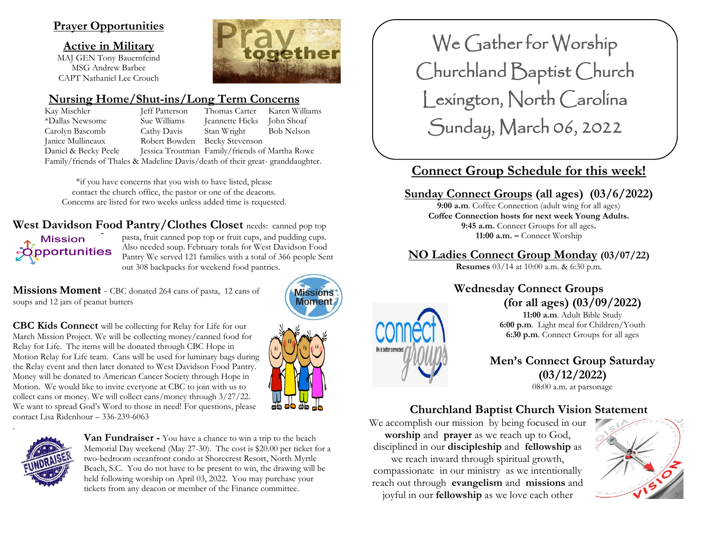# **Prayer Opportunities**

## **Active in Military**

MAJ GEN Tony Bauernfeind MSG Andrew Barbee CAPT Nathaniel Lee Crouch

# **Nursing Home/Shut-ins/Long Term Concerns**

Kay Mischler Jeff Patterson Thomas Carter Karen Williams \*Dallas Newsome Sue Williams Jeannette Hicks John Shoaf Carolyn Bascomb Cathy Davis Stan Wright Bob Nelson Janice Mullineaux Robert Bowden Becky Stevenson Daniel & Becky Peele Jessica Troutman Family/friends of Martha Rowe Family/friends of Thales & Madeline Davis/death of their great- granddaughter.

\*if you have concerns that you wish to have listed, please contact the church office, the pastor or one of the deacons. Concerns are listed for two weeks unless added time is requested.

**West Davidson Food Pantry/Clothes Closet** needs: canned pop top



pasta, fruit canned pop top or fruit cups, and pudding cups. Also needed soup. February totals for West Davidson Food Pantry We served 121 families with a total of 366 people Sent out 308 backpacks for weekend food pantries.

**Missions Moment** - CBC donated 264 cans of pasta, 12 cans of soups and 12 jars of peanut butters

**CBC Kids Connect** will be collecting for Relay for Life for our March Mission Project. We will be collecting money/canned food for Relay for Life. The items will be donated through CBC Hope in Motion Relay for Life team. Cans will be used for luminary bags during the Relay event and then later donated to West Davidson Food Pantry. Money will be donated to American Cancer Society through Hope in Motion. We would like to invite everyone at CBC to join with us to collect cans or money. We will collect cans/money through 3/27/22. We want to spread God's Word to those in need! For questions, please contact Lisa Ridenhour – 336-239-6063



.

**Van Fundraiser -** You have a chance to win a trip to the beach Memorial Day weekend (May 27-30). The cost is \$20.00 per ticket for a two-bedroom oceanfront condo at Shorecrest Resort, North Myrtle Beach, S.C. You do not have to be present to win, the drawing will be held following worship on April 03, 2022. You may purchase your tickets from any deacon or member of the Finance committee.



We Gather for Worship Churchland Baptist Church Lexington, North Carolina Sunday, March 06, 2022

# **Connect Group Schedule for this week!**

**Sunday Connect Groups (all ages) (03/6/2022)**

**9:00 a.m**. Coffee Connection (adult wing for all ages) **Coffee Connection hosts for next week Young Adults. 9:45 a.m.** Connect Groups for all ages**. 11:00 a.m. –** Connect Worship

**NO Ladies Connect Group Monday (03/07/22) Resumes** 03/14 at 10:00 a.m. & 6:30 p.m.

# **Wednesday Connect Groups (for all ages) (03/09/2022)**

**11:00 a.m**. Adult Bible Study **6:00 p.m**. Light meal for Children/Youth **6:30 p.m**. Connect Groups for all ages

# **Men's Connect Group Saturday (03/12/2022)**

08:00 a.m. at parsonage

# **Churchland Baptist Church Vision Statement**

We accomplish our mission by being focused in our **worship** and **prayer** as we reach up to God, disciplined in our **discipleship** and **fellowship** as we reach inward through spiritual growth, compassionate in our ministry as we intentionally reach out through **evangelism** and **missions** and joyful in our **fellowship** as we love each other





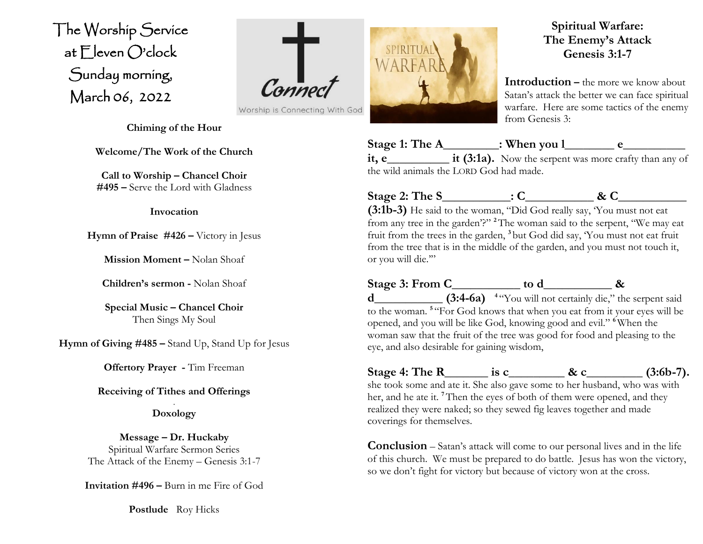The Worship Service at Eleven O'clock Sunday morning, March 06, 2022 ľ

 $\int_{C\alpha n n}$ Worship is Connecting With God



# **Spiritual Warfare: The Enemy's Attack Genesis 3:1-7**

**Introduction** – the more we know about Satan's attack the better we can face spiritual warfare. Here are some tactics of the enemy from Genesis 3:

Stage 1: The A\_\_\_\_\_\_\_\_\_: When you 1\_\_\_\_\_\_\_\_\_ e\_\_\_\_\_\_

**it, e\_\_\_\_\_\_\_\_\_\_ it (3:1a).** Now the serpent was more crafty than any of the wild animals the LORD God had made.

**Stage 2: The S\_\_\_\_\_\_\_\_\_\_\_: C\_\_\_\_\_\_\_\_\_\_\_ & C\_\_\_\_\_\_\_\_\_\_\_ (3:1b-3)** He said to the woman, "Did God really say, 'You must not eat from any tree in the garden'?" **<sup>2</sup>**The woman said to the serpent, "We may eat fruit from the trees in the garden, **<sup>3</sup>** but God did say, 'You must not eat fruit from the tree that is in the middle of the garden, and you must not touch it, or you will die.'"

**Stage 3: From C\_\_\_\_\_\_\_\_\_\_\_ to d\_\_\_\_\_\_\_\_\_\_\_ &** 

**d\_\_\_\_\_\_\_\_\_\_ (3:4-6a)** <sup>4</sup> "You will not certainly die," the serpent said to the woman. **<sup>5</sup>** "For God knows that when you eat from it your eyes will be opened, and you will be like God, knowing good and evil." **<sup>6</sup>**When the woman saw that the fruit of the tree was good for food and pleasing to the eye, and also desirable for gaining wisdom,

Stage 4: The R\_\_\_\_\_\_\_ is c\_\_\_\_\_\_\_\_\_ & c\_\_\_\_\_\_\_\_ (3:6b-7). she took some and ate it. She also gave some to her husband, who was with her, and he ate it. **<sup>7</sup>**Then the eyes of both of them were opened, and they realized they were naked; so they sewed fig leaves together and made coverings for themselves.

**Conclusion** – Satan's attack will come to our personal lives and in the life of this church. We must be prepared to do battle. Jesus has won the victory, so we don't fight for victory but because of victory won at the cross.

**Chiming of the Hour**

**Welcome/The Work of the Church**

**Call to Worship – Chancel Choir #495 –** Serve the Lord with Gladness

#### **Invocation**

**Hymn** of Praise #426 – Victory in Jesus

**Mission Moment –** Nolan Shoaf

**Children's sermon -** Nolan Shoaf

**Special Music – Chancel Choir** Then Sings My Soul

**Hymn of Giving #485 –** Stand Up, Stand Up for Jesus

**Offertory Prayer -** Tim Freeman

**Receiving of Tithes and Offerings** .

**Doxology**

**Message – Dr. Huckaby** Spiritual Warfare Sermon Series The Attack of the Enemy – Genesis 3:1-7

**Invitation #496 –** Burn in me Fire of God

**Postlude** Roy Hicks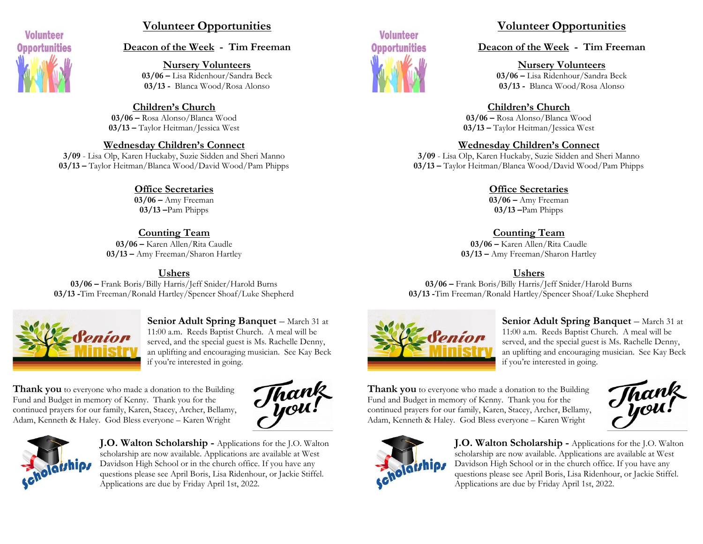

# **Volunteer Opportunities**

#### **Deacon of the Week - Tim Freeman**

**Nursery Volunteers 03/06 –** Lisa Ridenhour/Sandra Beck **03/13 -** Blanca Wood/Rosa Alonso

#### **Children's Church**

**03/06 –** Rosa Alonso/Blanca Wood **03/13 –** Taylor Heitman/Jessica West

#### **Wednesday Children's Connect**

**3/09** - Lisa Olp, Karen Huckaby, Suzie Sidden and Sheri Manno **03/13 –** Taylor Heitman/Blanca Wood/David Wood/Pam Phipps

#### **Office Secretaries**

**03/06 –** Amy Freeman **03/13 –**Pam Phipps

### **Counting Team**

**03/06 –** Karen Allen/Rita Caudle **03/13 –** Amy Freeman/Sharon Hartley

#### **Ushers**

**03/06 –** Frank Boris/Billy Harris/Jeff Snider/Harold Burns **03/13 -**Tim Freeman/Ronald Hartley/Spencer Shoaf/Luke Shepherd



**Senior Adult Spring Banquet** – March 31 at 11:00 a.m. Reeds Baptist Church. A meal will be served, and the special guest is Ms. Rachelle Denny, an uplifting and encouraging musician. See Kay Beck if you're interested in going.

**Thank you** to everyone who made a donation to the Building Fund and Budget in memory of Kenny. Thank you for the continued prayers for our family, Karen, Stacey, Archer, Bellamy, Adam, Kenneth & Haley. God Bless everyone – Karen Wright





**J.O. Walton Scholarship -** Applications for the J.O. Walton scholarship are now available. Applications are available at West Davidson High School or in the church office. If you have any questions please see April Boris, Lisa Ridenhour, or Jackie Stiffel. Applications are due by Friday April 1st, 2022.



# **Volunteer Opportunities**

#### **Deacon of the Week - Tim Freeman**

#### **Nursery Volunteers**

**03/06 –** Lisa Ridenhour/Sandra Beck **03/13 -** Blanca Wood/Rosa Alonso

#### **Children's Church**

**03/06 –** Rosa Alonso/Blanca Wood **03/13 –** Taylor Heitman/Jessica West

#### **Wednesday Children's Connect**

**3/09** - Lisa Olp, Karen Huckaby, Suzie Sidden and Sheri Manno **03/13 –** Taylor Heitman/Blanca Wood/David Wood/Pam Phipps

#### **Office Secretaries**

**03/06 –** Amy Freeman **03/13 –**Pam Phipps

#### **Counting Team**

**03/06 –** Karen Allen/Rita Caudle **03/13 –** Amy Freeman/Sharon Hartley

#### **Ushers**

**03/06 –** Frank Boris/Billy Harris/Jeff Snider/Harold Burns **03/13 -**Tim Freeman/Ronald Hartley/Spencer Shoaf/Luke Shepherd



**Senior Adult Spring Banquet** – March 31 at 11:00 a.m. Reeds Baptist Church. A meal will be served, and the special guest is Ms. Rachelle Denny, an uplifting and encouraging musician. See Kay Beck if you're interested in going.

**Thank you** to everyone who made a donation to the Building Fund and Budget in memory of Kenny. Thank you for the continued prayers for our family, Karen, Stacey, Archer, Bellamy, Adam, Kenneth & Haley. God Bless everyone – Karen Wright





**J.O. Walton Scholarship -** Applications for the J.O. Walton scholarship are now available. Applications are available at West Davidson High School or in the church office. If you have any questions please see April Boris, Lisa Ridenhour, or Jackie Stiffel. Applications are due by Friday April 1st, 2022.